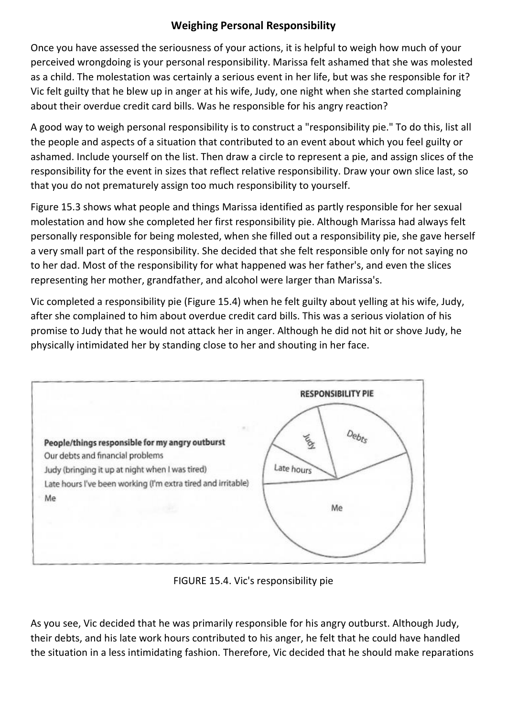## **Weighing Personal Responsibility**

Once you have assessed the seriousness of your actions, it is helpful to weigh how much of your perceived wrongdoing is your personal responsibility. Marissa felt ashamed that she was molested as a child. The molestation was certainly a serious event in her life, but was she responsible for it? Vic felt guilty that he blew up in anger at his wife, Judy, one night when she started complaining about their overdue credit card bills. Was he responsible for his angry reaction?

A good way to weigh personal responsibility is to construct a "responsibility pie." To do this, list all the people and aspects of a situation that contributed to an event about which you feel guilty or ashamed. Include yourself on the list. Then draw a circle to represent a pie, and assign slices of the responsibility for the event in sizes that reflect relative responsibility. Draw your own slice last, so that you do not prematurely assign too much responsibility to yourself.

Figure 15.3 shows what people and things Marissa identified as partly responsible for her sexual molestation and how she completed her first responsibility pie. Although Marissa had always felt personally responsible for being molested, when she filled out a responsibility pie, she gave herself a very small part of the responsibility. She decided that she felt responsible only for not saying no to her dad. Most of the responsibility for what happened was her father's, and even the slices representing her mother, grandfather, and alcohol were larger than Marissa's.

Vic completed a responsibility pie (Figure 15.4) when he felt guilty about yelling at his wife, Judy, after she complained to him about overdue credit card bills. This was a serious violation of his promise to Judy that he would not attack her in anger. Although he did not hit or shove Judy, he physically intimidated her by standing close to her and shouting in her face.



FIGURE 15.4. Vic's responsibility pie

As you see, Vic decided that he was primarily responsible for his angry outburst. Although Judy, their debts, and his late work hours contributed to his anger, he felt that he could have handled the situation in a less intimidating fashion. Therefore, Vic decided that he should make reparations